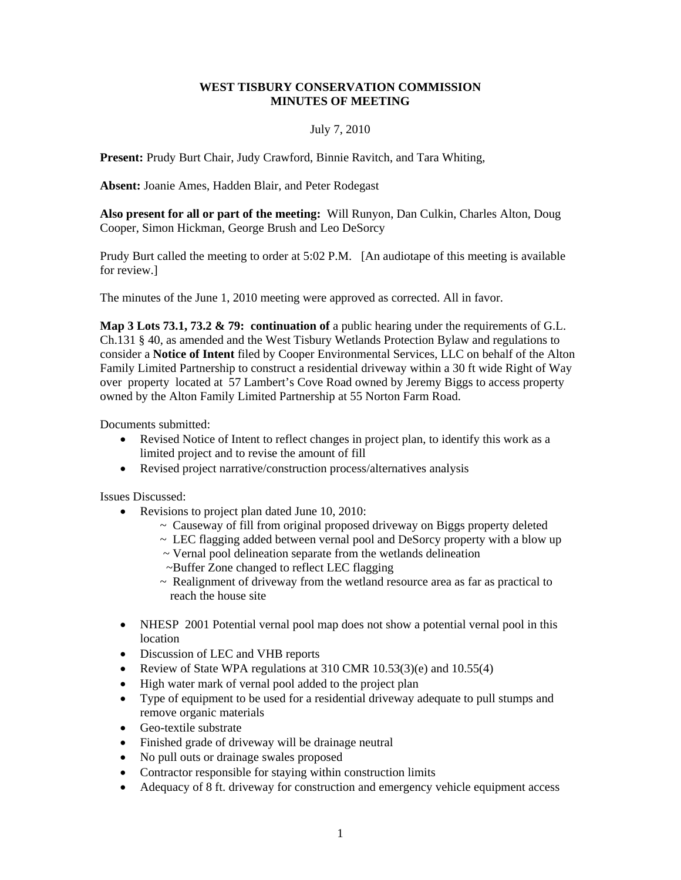## **WEST TISBURY CONSERVATION COMMISSION MINUTES OF MEETING**

## July 7, 2010

**Present:** Prudy Burt Chair, Judy Crawford, Binnie Ravitch, and Tara Whiting,

**Absent:** Joanie Ames, Hadden Blair, and Peter Rodegast

**Also present for all or part of the meeting:** Will Runyon, Dan Culkin, Charles Alton, Doug Cooper, Simon Hickman, George Brush and Leo DeSorcy

Prudy Burt called the meeting to order at 5:02 P.M. [An audiotape of this meeting is available for review.]

The minutes of the June 1, 2010 meeting were approved as corrected. All in favor.

**Map 3 Lots 73.1, 73.2 & 79: continuation of** a public hearing under the requirements of G.L. Ch.131 § 40, as amended and the West Tisbury Wetlands Protection Bylaw and regulations to consider a **Notice of Intent** filed by Cooper Environmental Services, LLC on behalf of the Alton Family Limited Partnership to construct a residential driveway within a 30 ft wide Right of Way over property located at 57 Lambert's Cove Road owned by Jeremy Biggs to access property owned by the Alton Family Limited Partnership at 55 Norton Farm Road.

Documents submitted:

- Revised Notice of Intent to reflect changes in project plan, to identify this work as a limited project and to revise the amount of fill
- Revised project narrative/construction process/alternatives analysis

Issues Discussed:

- Revisions to project plan dated June 10, 2010:
	- ~ Causeway of fill from original proposed driveway on Biggs property deleted
	- $\sim$  LEC flagging added between vernal pool and DeSorcy property with a blow up
	- ~ Vernal pool delineation separate from the wetlands delineation
	- ~Buffer Zone changed to reflect LEC flagging
	- $\sim$  Realignment of driveway from the wetland resource area as far as practical to reach the house site
- NHESP 2001 Potential vernal pool map does not show a potential vernal pool in this location
- Discussion of LEC and VHB reports
- Review of State WPA regulations at 310 CMR 10.53(3)(e) and 10.55(4)
- High water mark of vernal pool added to the project plan
- Type of equipment to be used for a residential driveway adequate to pull stumps and remove organic materials
- Geo-textile substrate
- Finished grade of driveway will be drainage neutral
- No pull outs or drainage swales proposed
- Contractor responsible for staying within construction limits
- Adequacy of 8 ft. driveway for construction and emergency vehicle equipment access